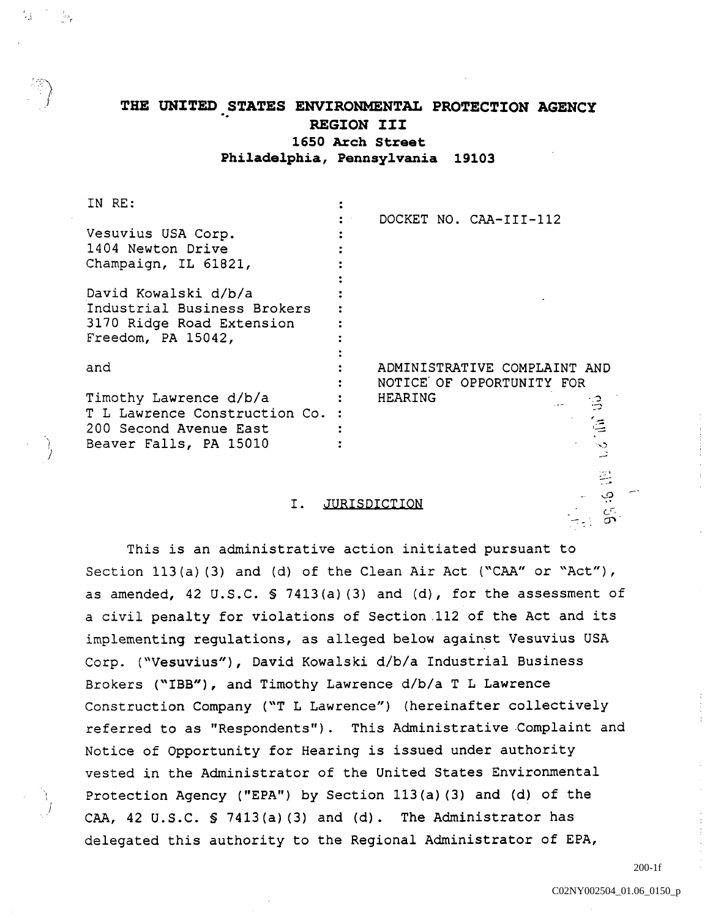# THE UNITED STATES ENVIRONMENTAL PROTECTION AGENCY REGION III 1650 Arch Street Philadelphia, Pennsylvania 19103

| IN RE:                          |                                |
|---------------------------------|--------------------------------|
|                                 | DOCKET NO. CAA-III-112         |
| Vesuvius USA Corp.              |                                |
| 1404 Newton Drive               |                                |
| Champaign, IL 61821,            |                                |
|                                 |                                |
| David Kowalski d/b/a            |                                |
| Industrial Business Brokers     |                                |
| 3170 Ridge Road Extension       |                                |
| Freedom, PA 15042,              |                                |
|                                 |                                |
| and                             | ADMINISTRATIVE COMPLAINT AND   |
|                                 | NOTICE OF OPPORTUNITY FOR      |
| Timothy Lawrence d/b/a          | <b>HEARING</b><br>$\mathbb{R}$ |
| T L Lawrence Construction Co. : |                                |
| 200 Second Avenue East          | 僵                              |
| Beaver Falls, PA 15010          | ు                              |
|                                 |                                |

#### I. **JURISDICTION**

This is an administrative action initiated pursuant to Section  $113(a)$  (3) and (d) of the Clean Air Act ("CAA" or "Act"), as amended,  $42 \text{ U.S.C. }$  \$  $7413(a)$  (3) and (d), for the assessment of civil penalty for violations of Section .112 of the Act and its implementing regulations, as alleged below against Vesuvius USA Corp. ("Vesuvius"), David Kowalski d/b/a Industrial Business Brokers ("IBB"), and Timothy Lawrence d/b/a T L Lawrence Construction Company ("T L Lawrence") (hereinafter collectively referred to as "Respondents"). This Administrative Complaint and Notice of Opportunity for Hearing is issued under authority vested in the Administrator of the United States Environmental Protection Agency ("EPA") by Section  $113(a)$  (3) and (d) of the CAA,  $42 \text{ U.S.C. }$   $5 \text{ 7413 (a) (3) and (d).}$  The Administrator has delegated this authority to the Regional Administrator of EPA

200-1f

ڢ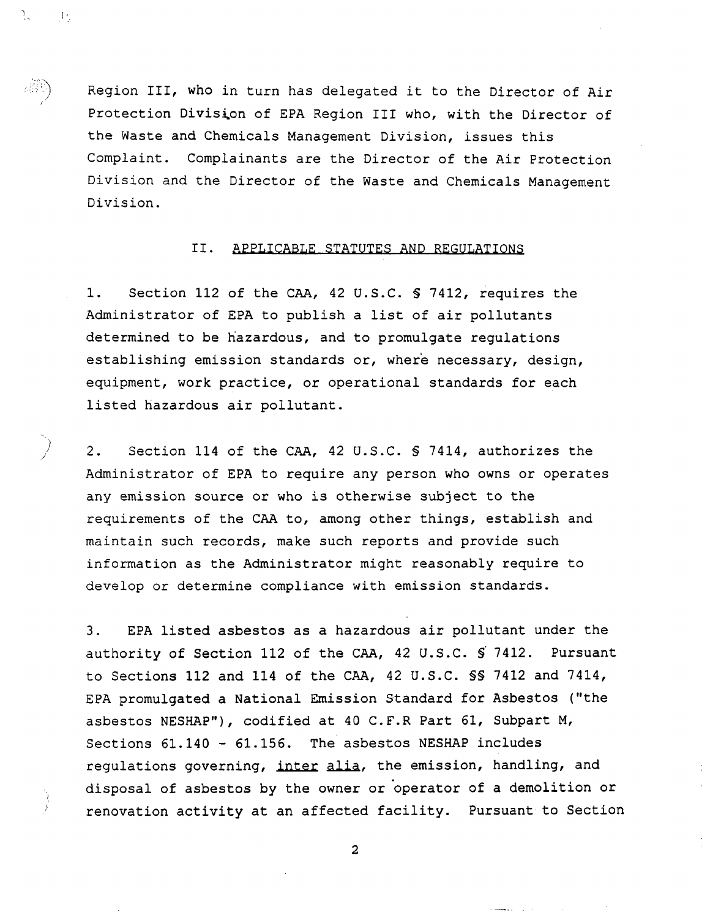Region III, who in turn has delegated it to the Director of Air Protection Division of EPA Region III who, with the Director of the Waste and Chemicals Management Division, issues this Complaint. Complainants are the Director of the Air Protection Division and the Director of the Waste and Chemicals Management Division

٦.,

- 15

## II. APPLICABLE STATUTES AND REGULATIONS

Section 112 of the CAA, 42 U.S.C. § 7412, requires the 1. Section 112 of the CAA, 42 U.S.C. § 7412, requires to administrator of EPA to publish a list of air pollutants determined to be hazardous, and to promulgate regulations establishing emission standards or, where necessary, design, equipment, work practice, or operational standards for each listed hazardous air pollutant

 $2.$ Section 114 of the CAA, 42 U.S.C.  $\frac{1}{4}$  7414, authorizes the Administrator of EPA to require any person who owns or operates any emission source or who is otherwise subject to the requirements of the CAA to, among other things, establish and maintain such records, make such reports and provide such information as the Administrator might reasonably require to develop or determine compliance with emission standards

 $3<sub>1</sub>$ EPA listed asbestos as hazardous air pollutant under the authority of Section 112 of the CAA, 42 U.S.C. S 7412. Pursuant to Sections 112 and 114 of the CAA, 42 U.S.C. \$\$ 7412 and 7414, EPA promulgated a National Emission Standard for Asbestos ("the asbestos NESHAP"), codified at 40 C.F.R Part 61, Subpart M, Sections  $61.140 - 61.156$ . The asbestos NESHAP includes regulations governing, inter alia, the emission, handling, and disposal of asbestos by the owner or operator of a demolition or renovation activity at an affected facility. Pursuant to Section

 $\overline{\mathbf{2}}$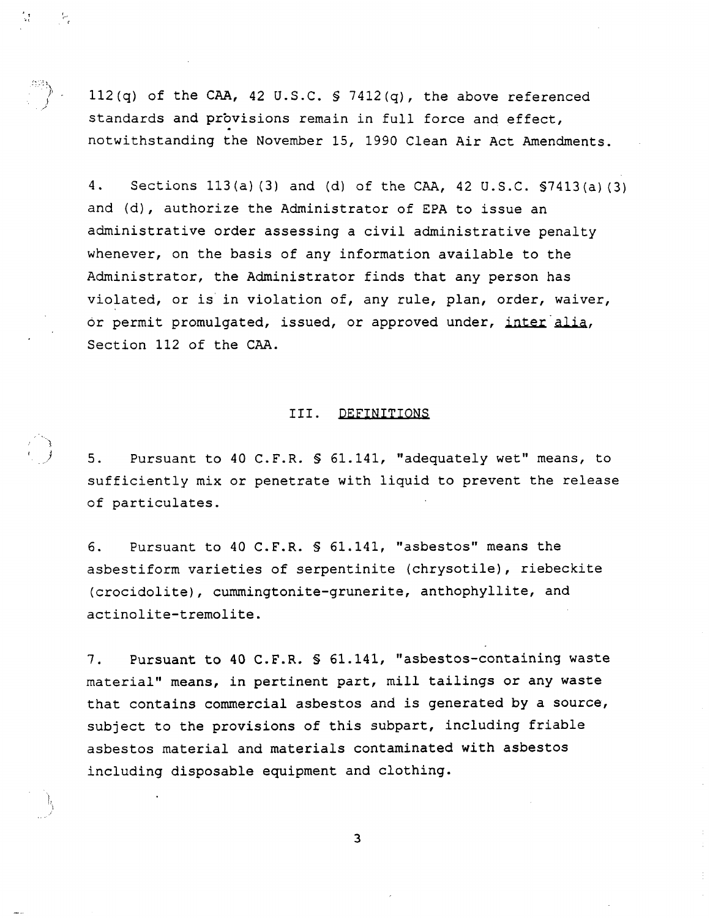112(q) of the CAA, 42 U.S.C.  $S$  7412(q), the above referenced standards and provisions remain in full force and effect, notwithstanding the November 15, 1990 Clean Air Act Amendments.

 $\overline{\epsilon}$ 

 $4.$ Sections  $113(a)$  (3) and (d) of the CAA, 42 U.S.C.  $57413(a)$  (3) and  $(d)$ , authorize the Administrator of EPA to issue an administrative order assessing a civil administrative penalty whenever, on the basis of any information available to the Administrator, the Administrator finds that any person has violated, or is in violation of, any rule, plan, order, waiver, or permit promulgated, issued, or approved under, inter alia, Section 112 of the CAA

#### III. DEFINITIONS

 $5.$ Pursuant to 40 C.F.R. § 61.141, "adequately wet" means, to sufficiently mix or penetrate with liquid to prevent the release of particulates

Pursuant to 40 C.F.R. § 61.141, "asbestos" means the 6. asbestiform varieties of serpentinite (chrysotile), riebeckite (crocidolite), cummingtonite-grunerite, anthophyllite, and actinolite-tremolite.

Pursuant to 40 C.F.R.  $\text{\$ 61.141, 'asbestos-containing waste}$  $7.$ material" means, in pertinent part, mill tailings or any waste that contains commercial asbestos and is generated by a source, subject to the provisions of this subpart, including friable asbestos material and materials contaminated with asbestos including disposable equipment and clothing

 $\overline{3}$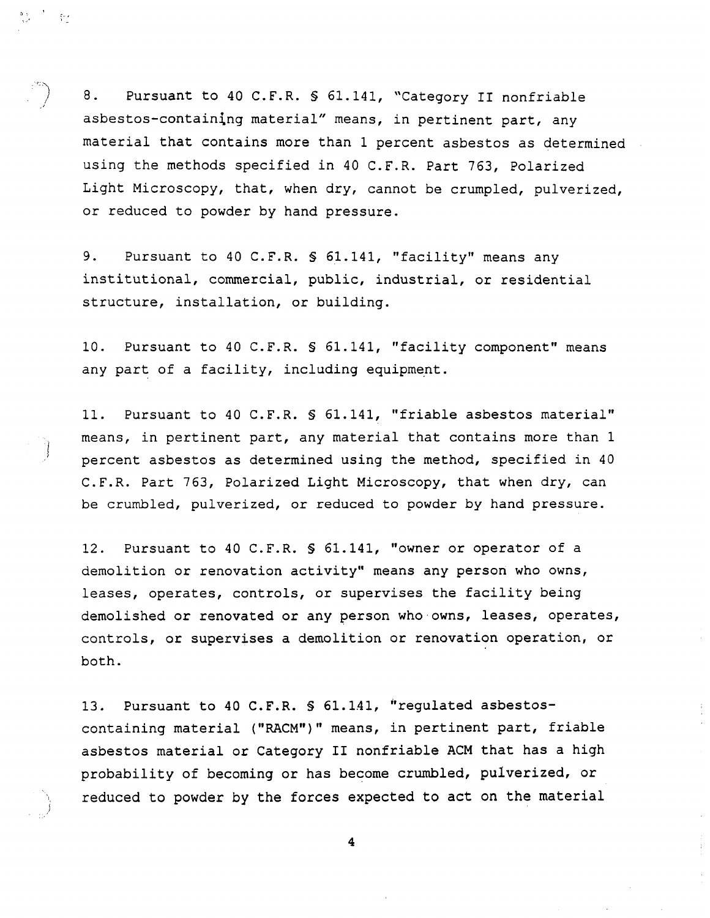$8.$ Pursuant to 40 C.F.R. § 61.141, "Category II nonfriable asbestos-containing material" means, in pertinent part, any material that contains more than 1 percent asbestos as determined using the methods specified in 40 C.F.R. Part 763, Polarized Light Microscopy, that, when dry, cannot be crumpled, pulverized, or reduced to powder by hand pressure.

 $\frac{\sigma}{\lambda} < \epsilon$ 

 $9.$ Pursuant to 40 C.F.R. § 61.141, "facility" means any institutional, commercial, public, industrial, or residential structure, installation, or building.

10. Pursuant to 40 C.F.R. § 61.141, "facility component" means any part of a facility, including equipment.

11. Pursuant to 40 C.F.R. § 61.141, "friable asbestos material" means, in pertinent part, any material that contains more than 1 percent asbestos as determined using the method, specified in 40 C.F.R. Part 763, Polarized Light Microscopy, that when dry, can be crumbled, pulverized, or reduced to powder by hand pressure.

12. Pursuant to 40 C.F.R. § 61.141, "owner or operator of a demolition or renovation activity" means any person who owns, leases, operates, controls, or supervises the facility being demolished or renovated or any person who owns, leases, operates, controls, or supervises a demolition or renovation operation, or both

13. Pursuant to 40 C.F.R. \$ 61.141, "regulated asbestoscontaining material ("RACM")" means, in pertinent part, friable asbestos material or Category II nonfriable ACM that has a high probability of becoming or has become crumbled, pulverized, or reduced to powder by the forces expected to act on the material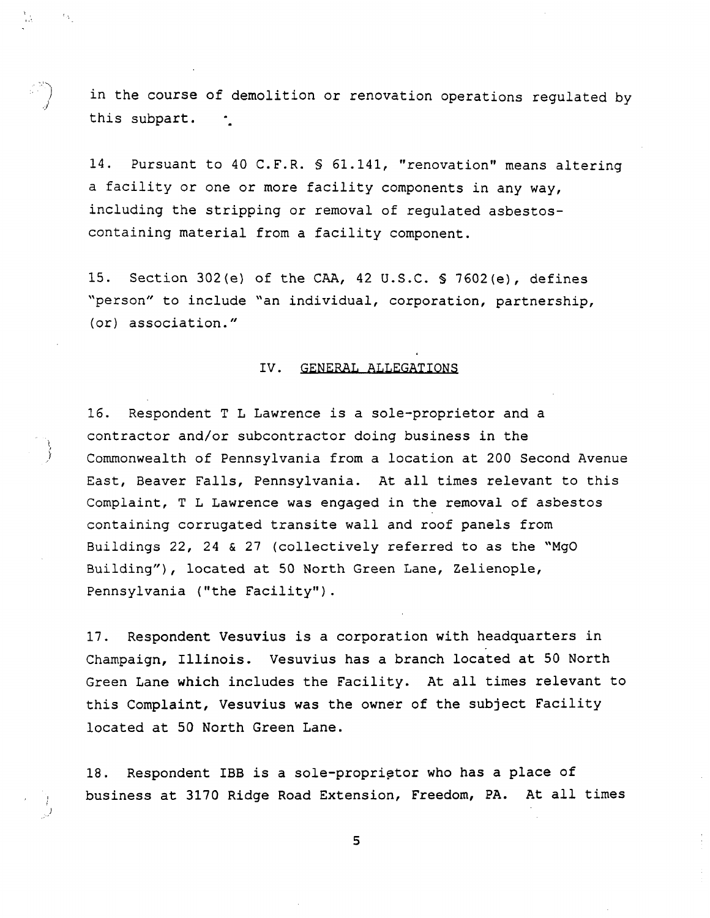in the course of demolition or renovation operations regulated by this subpart.

14. Pursuant to 40 C.F.R. § 61.141, "renovation" means altering a facility or one or more facility components in any way, including the stripping or removal of regulated asbestoscontaining material from a facility component.

15. Section 302(e) of the CAA, 42 U.S.C.  $\frac{1}{2}$  7602(e), defines "person" to include "an individual, corporation, partnership,  $(or)$  association."

#### IV. GENERAL ALLEGATIONS

16. Respondent T L Lawrence is a sole-proprietor and a contractor and/or subcontractor doing business in the Commonwealth of Pennsylvania from a location at 200 Second Avenue East, Beaver Falls, Pennsylvania. At all times relevant to this Complaint, T L Lawrence was engaged in the removal of asbestos containing corrugated transite wall and roof panels from Buildings  $22$ ,  $24$  &  $27$  (collectively referred to as the "MgO Building"), located at 50 North Green Lane, Zelienople, Pennsylvania ("the Facility").

17. Respondent Vesuvius is a corporation with headquarters in Champaign, Illinois. Vesuvius has a branch located at 50 North Green Lane which includes the Facility. At all times relevant to this Complaint, Vesuvius was the owner of the subject Facility located at <sup>50</sup> North Green Lane

18. Respondent IBB is a sole-proprietor who has a place of business at 3170 Ridge Road Extension, Freedom, PA. At all times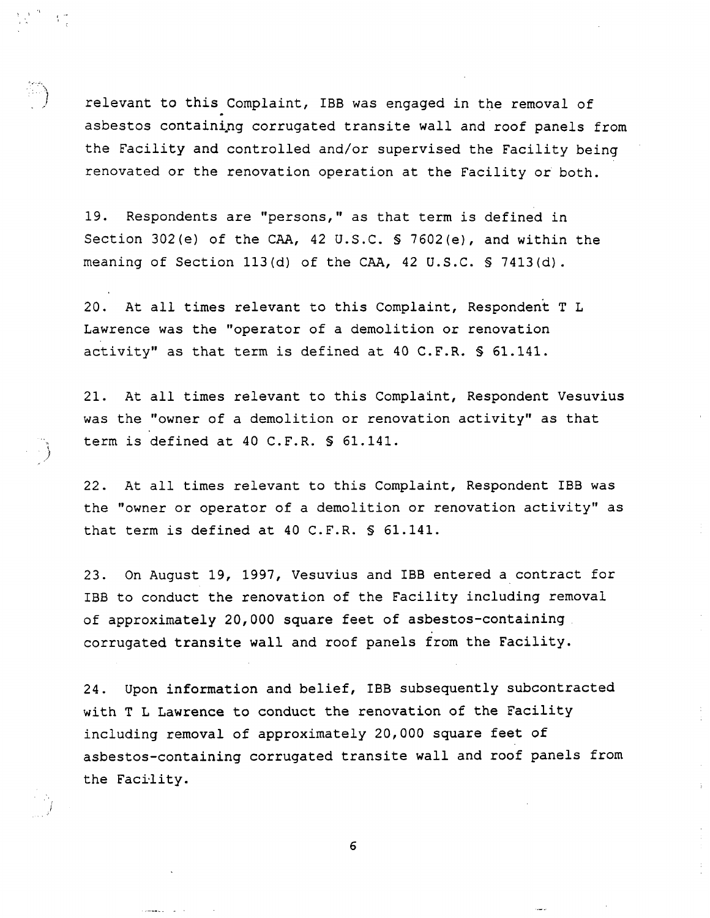relevant to this Complaint, IBB was engaged in the removal of asbestos containing corrugated transite wall and roof panels from the Facility and controlled and/or supervised the Facility being renovated or the renovation operation at the Facility or both

19. Respondents are "persons," as that term is defined in Section 302(e) of the CAA, 42 U.S.C.  $\frac{1}{2}$  7602(e), and within the meaning of Section 113(d) of the CAA, 42 U.S.C. § 7413(d).

20. At all times relevant to this Complaint, Respondent T L Lawrence was the "operator of a demolition or renovation activity" as that term is defined at 40 C.F.R.  $S$  61.141.

/1

21. At all times relevant to this Complaint, Respondent Vesuvius was the "owner of a demolition or renovation activity" as that term is defined at  $40$  C.F.R.  $\$$  61.141.

22. At all times relevant to this Complaint, Respondent IBB was the "owner or operator of a demolition or renovation activity" as that term is defined at 40 C.F.R.  $S$  61.141.

23. On August 19, 1997, Vesuvius and IBB entered a contract for <sup>188</sup> to conduct the renovation of the Facility including removal of approximately 20,000 square feet of asbestos-containing corrugated transite wall and roof panels from the Facility

24. Upon information and belief, IBB subsequently subcontracted with T L Lawrence to conduct the renovation of the Facility including removal of approximately 20,000 square feet of asbestos-containing corrugated transite wall and roof panels from the Facility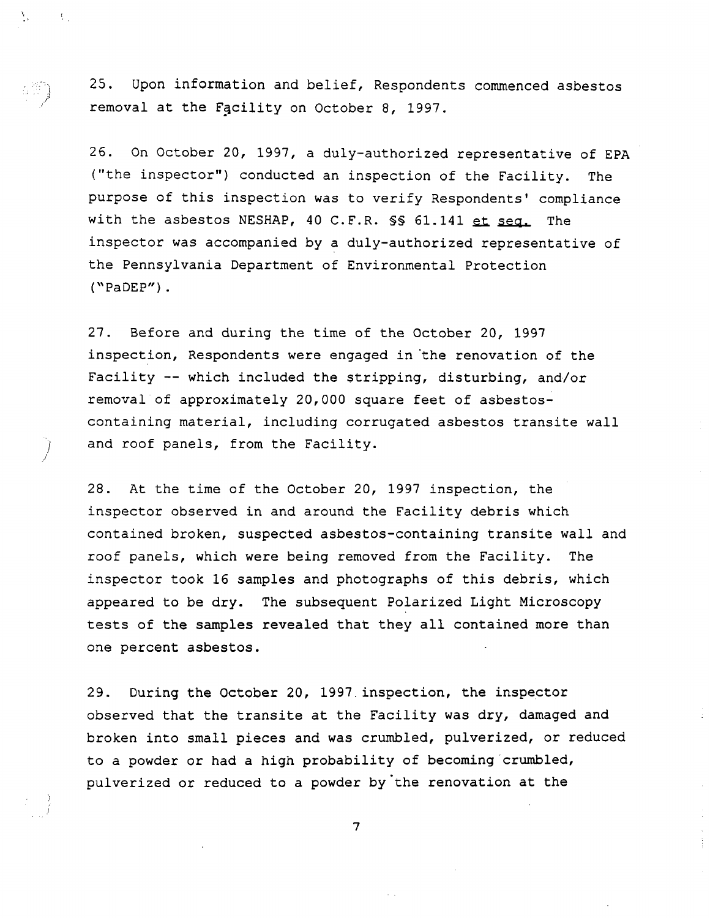25. Upon information and belief, Respondents commenced asbestos removal at the Facility on October 8, 1997.

 $\frac{2}{3}$ 

 $\sim 3\%$ 

26. On October 20, 1997, a duly-authorized representative of EPA ("the inspector") conducted an inspection of the Facility. The purpose of this inspection was to verify Respondents' compliance with the asbestos NESHAP, 40 C.F.R. SS 61.141 et seq. The inspector was accompanied by a duly-authorized representative of the Pennsylvania Department of Environmental Protection  $("PaDEP")$ .

27. Before and during the time of the October 20, 1997 inspection, Respondents were engaged in the renovation of the Facility  $-$ - which included the stripping, disturbing, and/or removal of approximately 20,000 square feet of asbestoscontaining material, including corrugated asbestos transite wall and roof panels, from the Facility.

28. At the time of the October 20, 1997 inspection, the inspector observed in and around the Facility debris which contained broken, suspected asbestos-containing transite wall and roof panels, which were being removed from the Facility. The inspector took 16 samples and photographs of this debris, which appeared to be dry. The subsequent Polarized Light Microscopy tests of the samples revealed that they all contained more than one percent asbestos

29. During the October 20, 1997 inspection, the inspector observed that the transite at the Facility was dry, damaged and broken into small pieces and was crumbled, pulverized, or reduced to a powder or had a high probability of becoming crumbled, pulverized or reduced to a powder by the renovation at the

 $\overline{7}$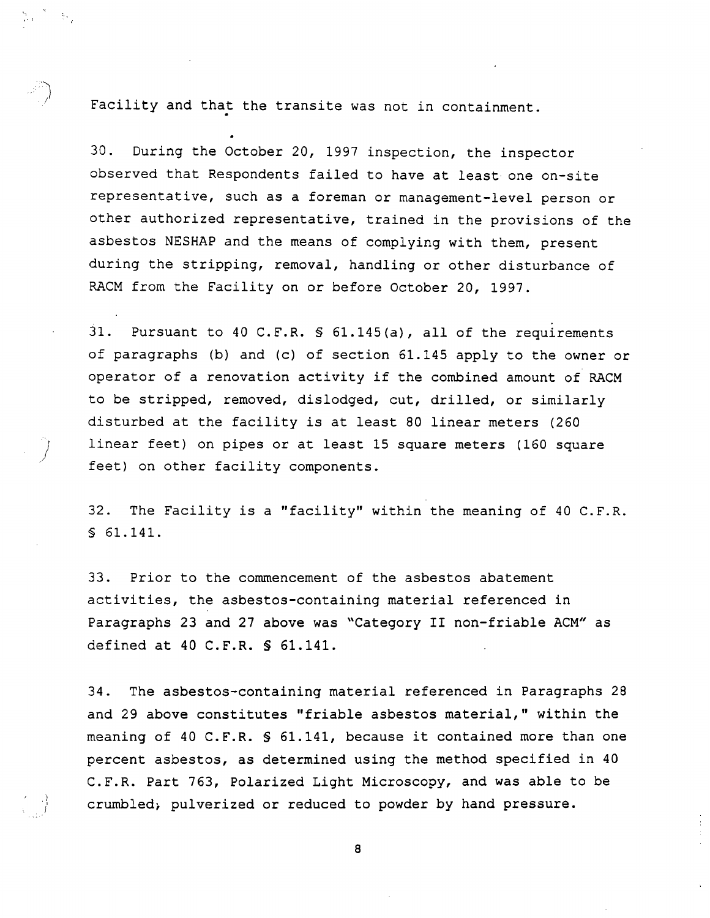Facility and that the transite was not in containment.

30. During the October 20, 1997 inspection, the inspector observed that Respondents failed to have at least one on-site representative, such as a foreman or management-level person or other authorized representative, trained in the provisions of the asbestos NESHAP and the means of complying with them, present during the stripping, removal, handling or other disturbance of RACM from the Facility on or before October 20, 1997.

31. Pursuant to 40 C.F.R.  $\frac{1}{2}$  61.145(a), all of the requirements of paragraphs (b) and (c) of section  $61.145$  apply to the owner or operator of a renovation activity if the combined amount of RACM to be stripped, removed, dislodged, cut, drilled, or similarly disturbed at the facility is at least 80 linear meters (260) linear feet) on pipes or at least 15 square meters (160 square feet) on other facility components.

32. The Facility is a "facility" within the meaning of 40 C.F.R. § 61.141.

33. Prior to the commencement of the asbestos abatement activities, the asbestos-containing material referenced in Paragraphs 23 and 27 above was "Category II non-friable ACM" as defined at 40 C.F.R.  $S$  61.141.

34. The asbestos-containing material referenced in Paragraphs 28 and 29 above constitutes "friable asbestos material," within the meaning of 40 C.F.R. § 61.141, because it contained more than one percent asbestos, as determined using the method specified in 40 C.F.R. Part 763, Polarized Light Microscopy, and was able to be crumbled, pulverized or reduced to powder by hand pressure.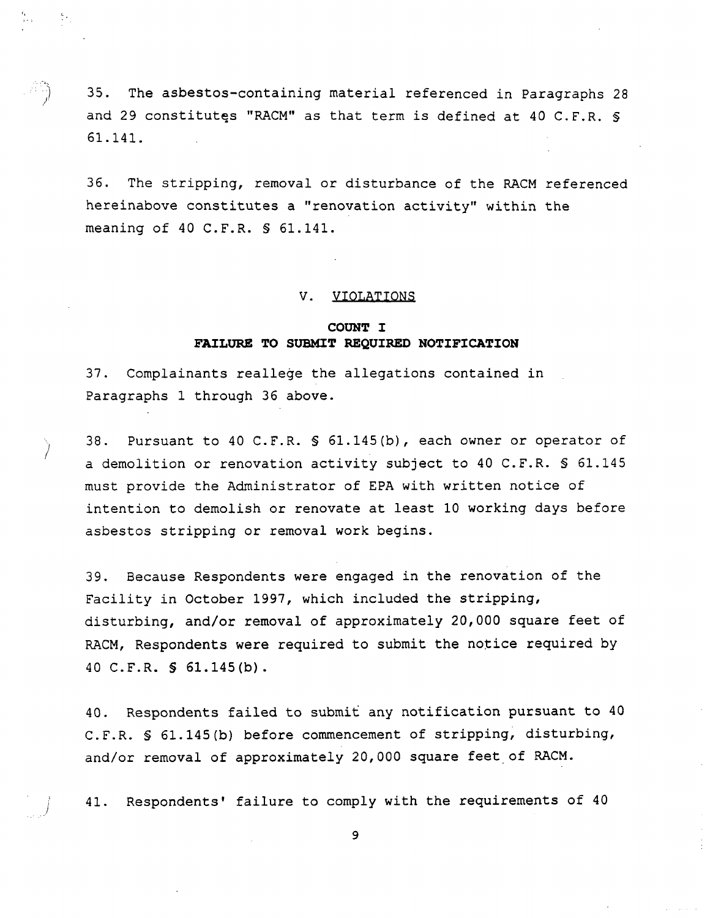35. The asbestos-containing material referenced in Paragraphs 28 and 29 constitutes "RACM" as that term is defined at 40 C.F.R.  $\ S$ 61.141.

 $\frac{6}{3}$  .

36. The stripping, removal or disturbance of the RACM referenced hereinabove constitutes a "renovation activity" within the meaning of 40 C.F.R.  $S$  61.141.

#### V. VIOLATIONS

# COUNT I FAILURE TO SUBMIT REQUIRED NOTIFICATION

37 Complainants reallege the allegations contained in Paragraphs 1 through 36 above.

38. Pursuant to 40 C.F.R. § 61.145(b), each owner or operator of a demolition or renovation activity subject to 40 C.F.R. § 61.145 must provide the Administrator of EPA with written notice of intention to demolish or renovate at least <sup>10</sup> working days before asbestos stripping or removal work begins

39. Because Respondents were engaged in the renovation of the Facility in October 1997, which included the stripping, disturbing, and/or removal of approximately 20,000 square feet of RACM, Respondents were required to submit the notice required by 40 C.F.R.  $\text{\$61.145(b)}.$ 

40. Respondents failed to submit any notification pursuant to 40 C.F.R.  $S$  61.145(b) before commencement of stripping, disturbing, and/or removal of approximately 20,000 square feet of RACM.

41. Respondents' failure to comply with the requirements of 40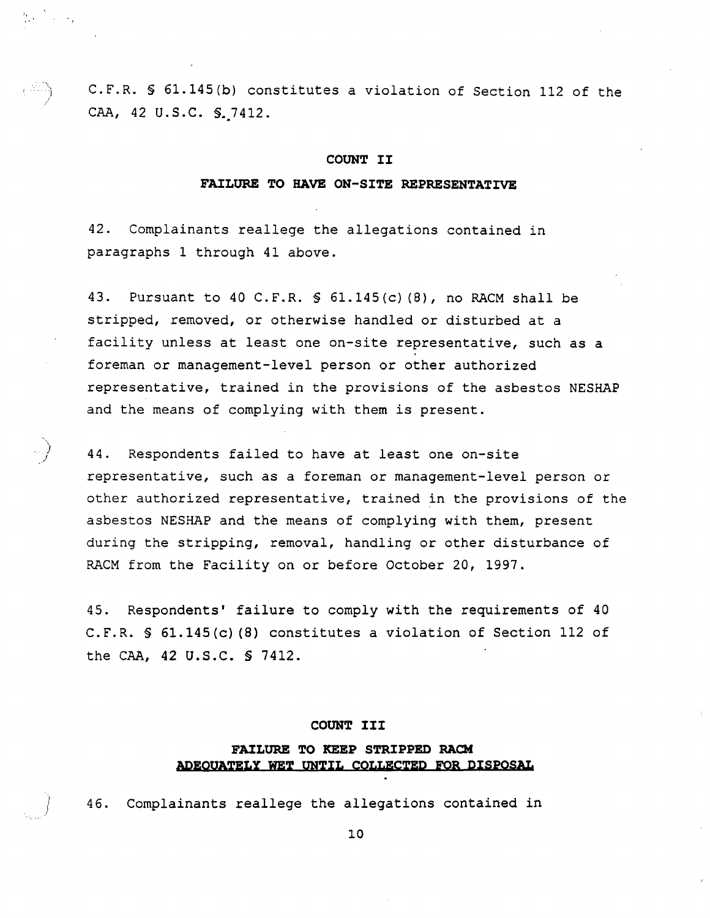C.F.R. § 61.145(b) constitutes a violation of Section 112 of the CAA, 42 U.S.C. S. 7412.

#### COUNT II

#### FAILURE TO HAVE ON-SITE REPRESENTATIVE

42. Complainants reallege the allegations contained in paragraphs 1 through 41 above.

 $\mathcal{M} \subset \mathcal{M}$ 

43. Pursuant to 40 C.F.R.  $\frac{1}{2}$  61.145(c)(8), no RACM shall be stripped, removed, or otherwise handled or disturbed at a facility unless at least one on-site representative, such as a foreman or management-level person or other authorized representative, trained in the provisions of the asbestos NESHAP and the means of complying with them is present

44. Respondents failed to have at least one on-site representative, such as a foreman or management-level person or other authorized representative, trained in the provisions of the asbestos NESHAP and the means of complying with them, present during the stripping, removal, handling or other disturbance of RACM from the Facility on or before October 20, 1997.

45. Respondents' failure to comply with the requirements of 40 C.F.R.  $\ S$  61.145(c)(8) constitutes a violation of Section 112 of the CAA,  $42$  U.S.C.  $\frac{1}{2}$  7412.

#### COUNT III

## FAILURE TO KEEP STRIPPED RACH ADEOUATELY WET UNTIL COLLECTED FOR DISPOSAL

46. Complainants reallege the allegations contained in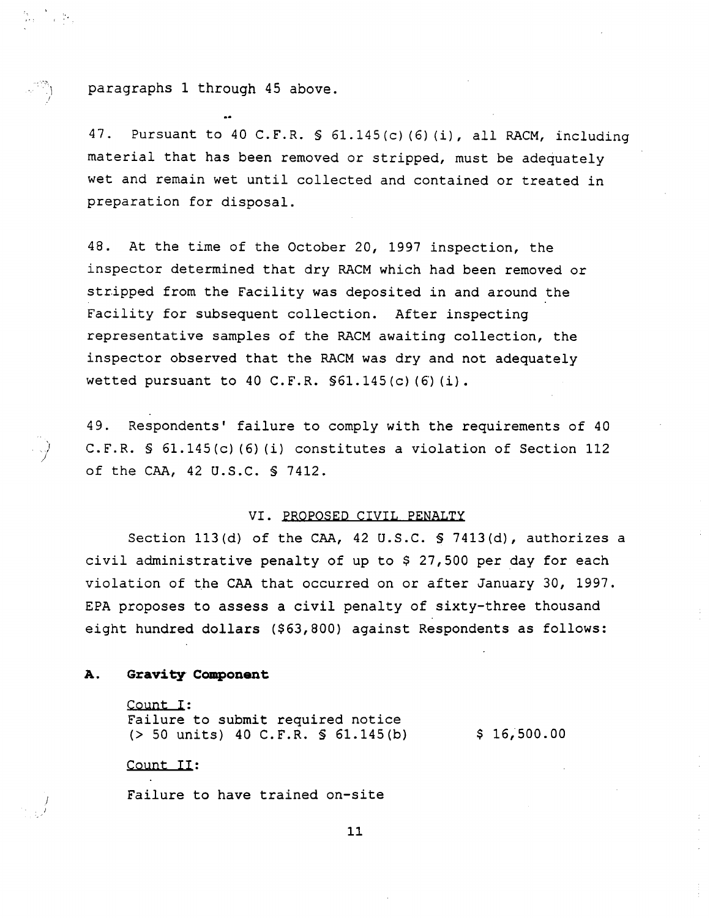paragraphs 1 through 45 above.

ta (California)<br>1960 - Paul Britannia, primeir a politica<br>1960 - Paul Britannia, primeir a politica

47. Pursuant to 40 C.F.R.  $\frac{1}{2}$  61.145(c)(6)(i), all RACM, including material that has been removed or stripped, must be adequately wet and remain wet until collected and contained or treated in preparation for disposal

48. At the time of the October 20, 1997 inspection, the inspector determined that dry RACM which had been removed or stripped from the Facility was deposited in and around the Facility for subsequent collection. After inspecting representative samples of the RACM awaiting collection, the inspector observed that the RACM was dry and not adequately wetted pursuant to 40 C.F.R.  $$61.145(c) (6) (i)$ .

49. Respondents' failure to comply with the requirements of 40 C.F.R.  $\$$  61.145(c)(6)(i) constitutes a violation of Section 112 of the CAA, 42 U.S.C. § 7412.

## VI. PROPOSED CIVIL PENALTY

Section 113(d) of the CAA, 42 U.S.C.  $S$  7413(d), authorizes a civil administrative penalty of up to  $$27,500$  per day for each violation of the CAA that occurred on or after January 30, 1997. EPA proposes to assess a civil penalty of sixty-three thousand eight hundred dollars (\$63,800) against Respondents as follows:

#### А. Gravity Component

Count I: Failure to submit required notice  $(> 50 \text{ units})$  40 C.F.R. § 61.145(b) \$ 16,500.00

## Count II:

Failure to have trained on-site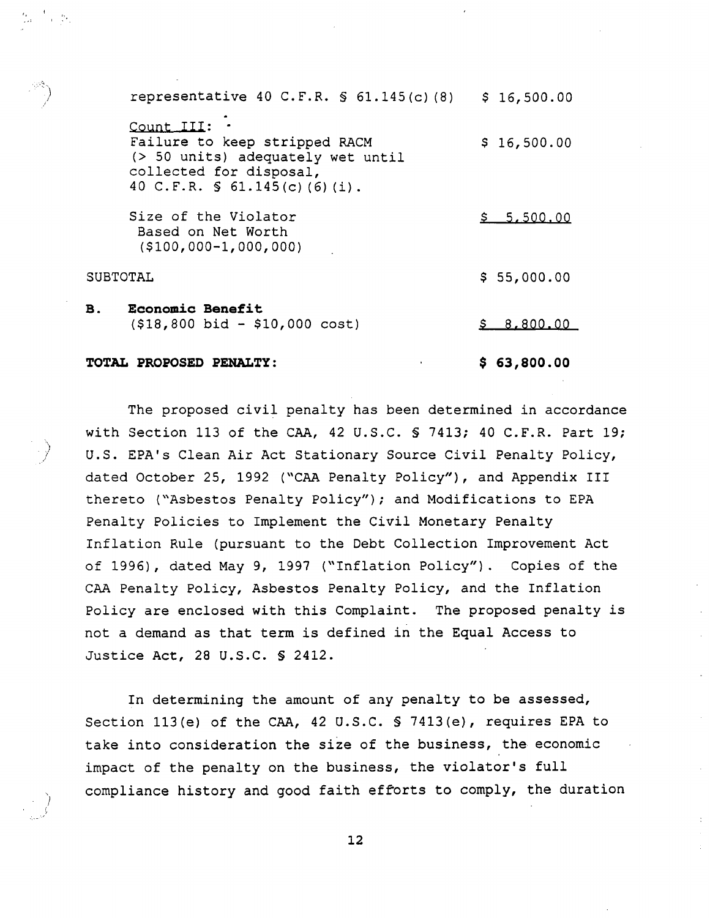| representative 40 C.F.R. $\text{S}$ 61.145(c)(8)                                                                                                     | \$16,500.00 |
|------------------------------------------------------------------------------------------------------------------------------------------------------|-------------|
| Count III:<br>Failure to keep stripped RACM<br>(> 50 units) adequately wet until<br>collected for disposal,<br>40 C.F.R. $\text{S}$ 61.145(c)(6)(i). | \$16,500.00 |
| Size of the Violator<br>Based on Net Worth<br>$( $100,000-1,000,000)$                                                                                | \$5,500,00  |
| SUBTOTAL                                                                                                                                             | \$55,000.00 |
| <b>Economic Benefit</b><br>В.<br>$($18,800$ bid - \$10,000 cost)                                                                                     | 8.800.00    |

TOTAL PROPOSED PENALTY:  $$63,800.00$ 

**B.** 

The proposed civil penalty has been determined in accordance with Section 113 of the CAA, 42 U.S.C.  $\frac{1}{2}$  7413; 40 C.F.R. Part 19; U.S. EPA's Clean Air Act Stationary Source Civil Penalty Policy, dated October 25, 1992 ("CAA Penalty Policy"), and Appendix III thereto ("Asbestos Penalty Policy"); and Modifications to EPA Penalty Policies to Implement the Civil Monetary Penalty Inflation Rule (pursuant to the Debt Collection Improvement Act of 1996), dated May 9, 1997 ("Inflation Policy"). Copies of the CAA Penalty Policy, Asbestos Penalty Policy, and the Inflation Policy are enclosed with this Complaint. The proposed penalty is not a demand as that term is defined in the Equal Access to Justice Act, 28 U.S.C.  $S$  2412.

In determining the amount of any penalty to be assessed, Section  $113(e)$  of the CAA, 42 U.S.C. § 7413(e), requires EPA to take into consideration the size of the business, the economic impact of the penalty on the business, the violator's full compliance history and good faith efforts to comply, the duration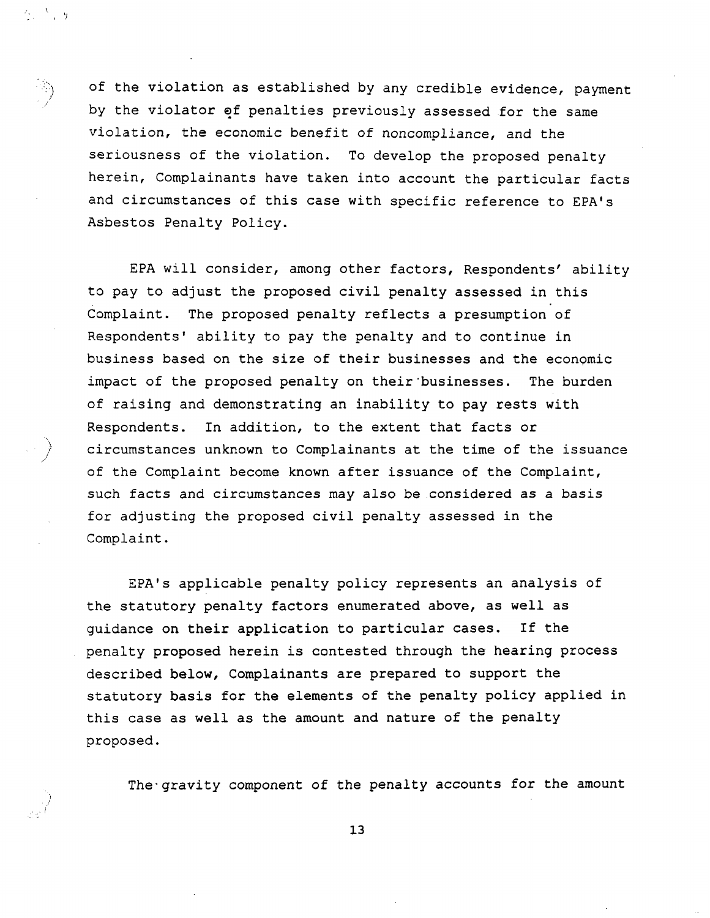of the violation as established by any credible evidence, payment by the violator of penalties previously assessed for the same violation, the economic benefit of noncompliance, and the seriousness of the violation. To develop the proposed penalty herein, Complainants have taken into account the particular facts and circumstances of this case with specific reference to EPA's Asbestos Penalty Policy

 $2.13$ 

EPA will consider, among other factors, Respondents' ability to pay to adjust the proposed civil penalty assessed in this Complaint. The proposed penalty reflects a presumption of Respondents' ability to pay the penalty and to continue in business based on the size of their businesses and the economic impact of the proposed penalty on their businesses. The burden of raising and demonstrating an inability to pay rests with Respondents. In addition, to the extent that facts or circumstances unknown to Complainants at the time of the issuance of the Complaint become known after issuance of the Complaint, such facts and circumstances may also be considered as basis for adjusting the proposed civil penalty assessed in the Complaint

EPA's applicable penalty policy represents an analysis of the statutory penalty factors enumerated above, as well as guidance on their application to particular cases. If the penalty proposed herein is contested through the hearing process described below, Complainants are prepared to support the statutory basis for the elements of the penalty policy applied in this case as well as the amount and nature of the penalty proposed

The gravity component of the penalty accounts for the amount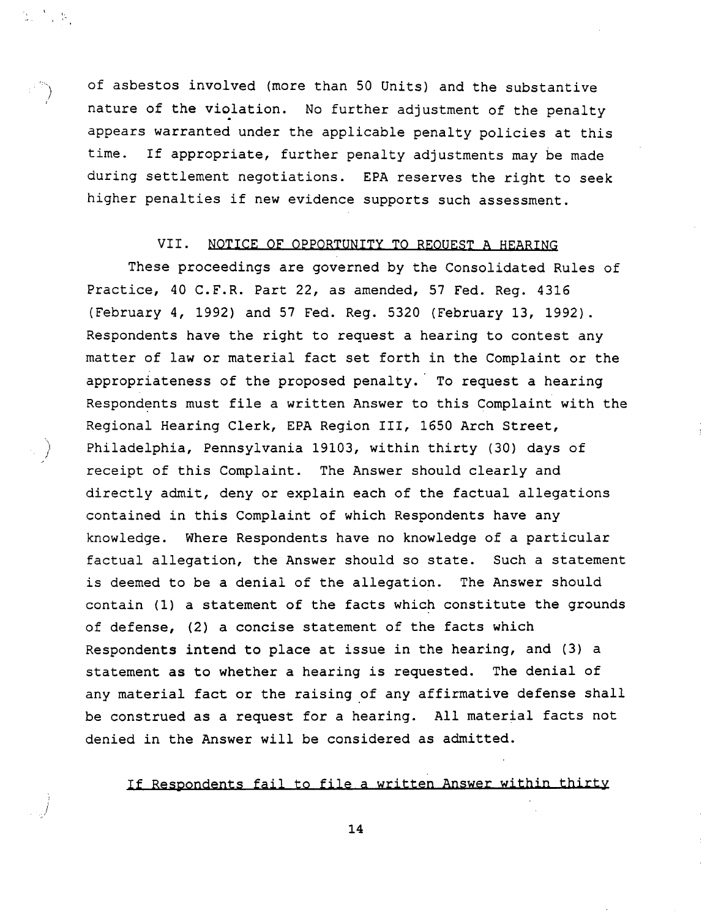of asbestos involved (more than 50 Units) and the substantive nature of the violation. No further adjustment of the penalty appears warranted under the applicable penalty policies at this time. If appropriate, further penalty adjustments may be made during settlement negotiations. EPA reserves the right to seek higher penalties if new evidence supports such assessment.

 $\mathbb{S}^{n+1}$  ,  $\mathbb{S}^{n}$ 

# VII. NOTICE OF OPPORTUNITY TO REQUEST A HEARING

These proceedings are governed by the Consolidated Rules of Practice, 40 C.F.R. Part 22, as amended, 57 Fed. Reg. 4316 (February 4, 1992) and 57 Fed. Reg. 5320 (February 13, 1992). Respondents have the right to request a hearing to contest any matter of law or material fact set forth in the Complaint or the appropriateness of the proposed penalty. To request a hearing Respondents must file a written Answer to this Complaint with the Regional Hearing Clerk, EPA Region III, 1650 Arch Street, Philadelphia, Pennsylvania 19103, within thirty (30) days of receipt of this Complaint. The Answer should clearly and directly admit, deny or explain each of the factual allegations contained in this Complaint of which Respondents have any knowledge. Where Respondents have no knowledge of a particular factual allegation, the Answer should so state. Such a statement is deemed to be a denial of the allegation. The Answer should contain  $(1)$  a statement of the facts which constitute the grounds of defense, (2) a concise statement of the facts which Respondents intend to place at issue in the hearing, and  $(3)$  a statement as to whether a hearing is requested. The denial of any material fact or the raising of any affirmative defense shall be construed as a request for a hearing. All material facts not denied in the Answer will be considered as admitted

If Respondents fail to file a written Answer within thirty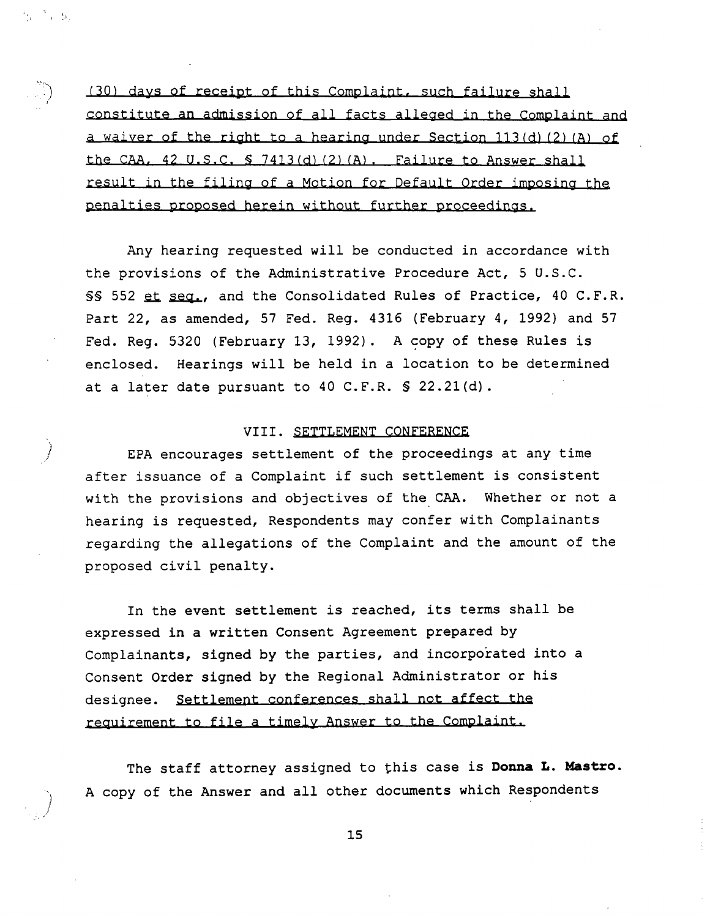(30) days of receipt of this Complaint, such failure shall constitute an admission of all facts alleged in the Complaint and a waiver of the right to a hearing under Section 113(d) (2) (A) of the CAA,  $42$  U.S.C.  $5$  7413(d)(2)(A). Failure to Answer shall result in the filing of a Motion for Default Order imposing the penalties proposed herein without further proceedings

 $\mathbf{\hat{y}}^{(i)}$  ,  $\mathbf{\hat{y}}_i$ 

Any hearing requested will be conducted in accordance with the provisions of the Administrative Procedure Act, 5 U.S.C. §§ 552 et seq., and the Consolidated Rules of Practice, 40 C.F.R. Part 22, as amended, 57 Fed. Reg. 4316 (February 4, 1992) and 57 Fed. Reg. 5320 (February 13, 1992). A copy of these Rules is enclosed. Hearings will be held in a location to be determined at a later date pursuant to 40 C.F.R.  $\$$  22.21(d).

## VIII. SETTLEMENT CONFERENCE

EPA encourages settlement of the proceedings at any time after issuance of a Complaint if such settlement is consistent with the provisions and objectives of the CAA. Whether or not a hearing is requested, Respondents may confer with Complainants regarding the allegations of the Complaint and the amount of the proposed civil penalty

In the event settlement is reached, its terms shall be expressed in a written Consent Agreement prepared by Complainants, signed by the parties, and incorporated into a Consent Order signed by the Regional Administrator or his designee. Settlement conferences shall not affect the requirement to file a timely Answer to the Complaint.

The staff attorney assigned to this case is Donna L. Mastro. copy of the Answer and all other documents which Respondents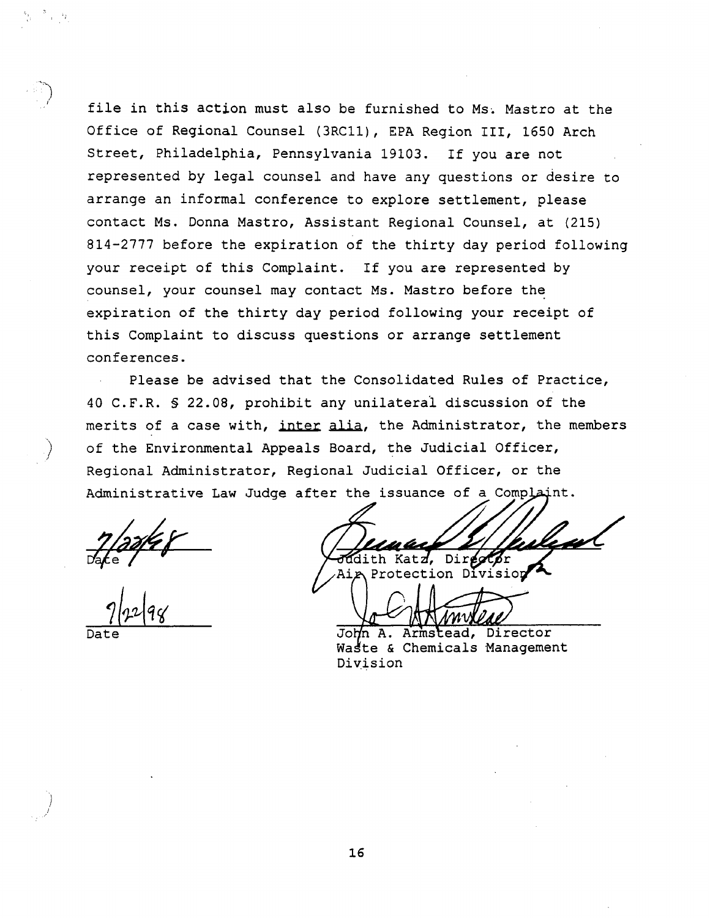file in this action must also be furnished to Ms. Mastro at the Office of Regional Counsel (3RC11), EPA Region III, 1650 Arch Street, Philadelphia, Pennsylvania 19103. If you are not represented by legal counsel and have any questions or desire to arrange an informal conference to explore settlement, please contact Ms. Donna Mastro, Assistant Regional Counsel, at (215) 814-2777 before the expiration of the thirty day period following your receipt of this Complaint. If you are represented by counsel, your counsel may contact Ms. Mastro before the expiration of the thirty day period following your receipt of this Complaint to discuss questions or arrange settlement conferences

Please be advised that the Consolidated Rules of Practice 40 C.F.R. § 22.08, prohibit any unilateral discussion of the merits of a case with, inter alia, the Administrator, the members of the Environmental Appeals Board, the Judicial Officer, Regional Administrator, Regional Judicial Officer, or the Administrative Law Judge after the issuance of a Complaint.

Judith Katz, Director<br>Aig Protection Division

7/12/98<br>Date John A. Armstead, Director<br>Waste & Chemicals Management

Waste & Chemicals Management<br>Division